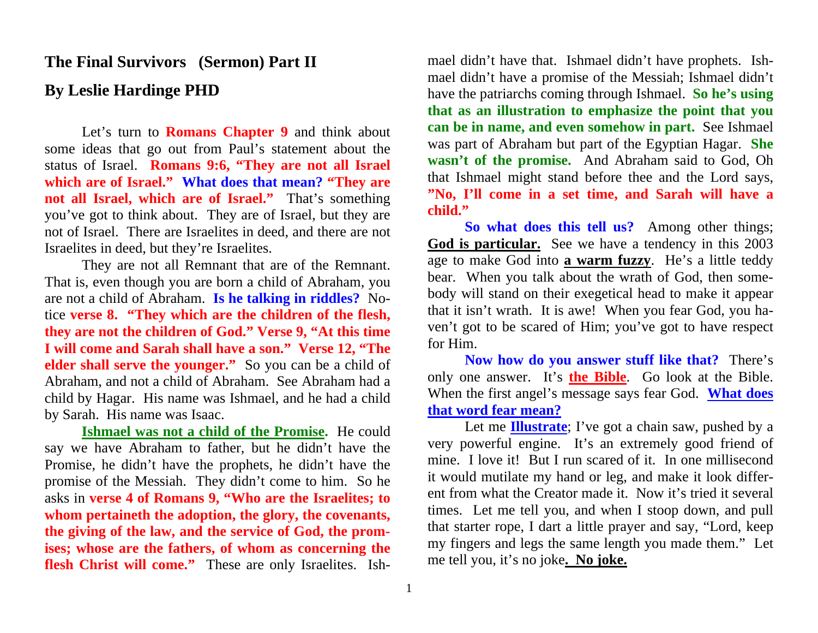## **The Final Survivors (Sermon) Part II By Leslie Hardinge PHD**

Let's turn to **Romans Chapter 9** and think about some ideas that go out from Paul's statement about the status of Israel. **Romans 9:6, "They are not all Israel which are of Israel." What does that mean? "They are not all Israel, which are of Israel."** That's something you've got to think about. They are of Israel, but they are not of Israel. There are Israelites in deed, and there are not Israelites in deed, but they're Israelites.

They are not all Remnant that are of the Remnant. That is, even though you are born a child of Abraham, you are not a child of Abraham. **Is he talking in riddles?** Notice **verse 8. "They which are the children of the flesh, they are not the children of God." Verse 9, "At this time I will come and Sarah shall have a son." Verse 12, "The elder shall serve the younger."** So you can be a child of Abraham, and not a child of Abraham. See Abraham had a child by Hagar. His name was Ishmael, and he had a child by Sarah. His name was Isaac.

**Ishmael was not a child of the Promise.** He could say we have Abraham to father, but he didn't have the Promise, he didn't have the prophets, he didn't have the promise of the Messiah. They didn't come to him. So he asks in **verse 4 of Romans 9, "Who are the Israelites; to whom pertaineth the adoption, the glory, the covenants, the giving of the law, and the service of God, the promises; whose are the fathers, of whom as concerning the flesh Christ will come."** These are only Israelites. Ishmael didn't have that. Ishmael didn't have prophets. Ish mael didn't have a promise of the Messiah; Ishmael didn't<br>have the patriarchs coming through Ishmael. **So he's using**<br>**that as an illustration to emphasize the point that you**<br>**can be in name, and even somehow in part.** Se **"No, I'll come in a set time, and Sarah will have a child." So what does this tell us?** Among other things;

**God is particular.** See we have a tendency in this 2003 age to make God into **a warm fuzzy**. He's a little teddy bear. When you talk about the wrath of God, then some body will stand on their exegetical head to make it appear that it isn't wrath. It is awe! When you fear God, you ha ven't got to be scared of Him; you've got to have respect for Him.

**Now how do you answer stuff like that?** There's only one answer. It's **the Bible**. Go look at the Bible. When the first angel's message says fear God. **What does that word fear mean?** 

Let me **Illustrate**; I've got a chain saw, pushed by a very powerful engine. It's an extremely good friend of mine. I love it! But I run scared of it. In one millisecond it would mutilate my hand or leg, and make it look d ent from what the Creator made it. Now it's tried it several<br>times. Let me tell you, and when I stoop down, and pull<br>that starter rope, I dart a little prayer and say, "Lord, keep<br>my fingers and legs the same length you ma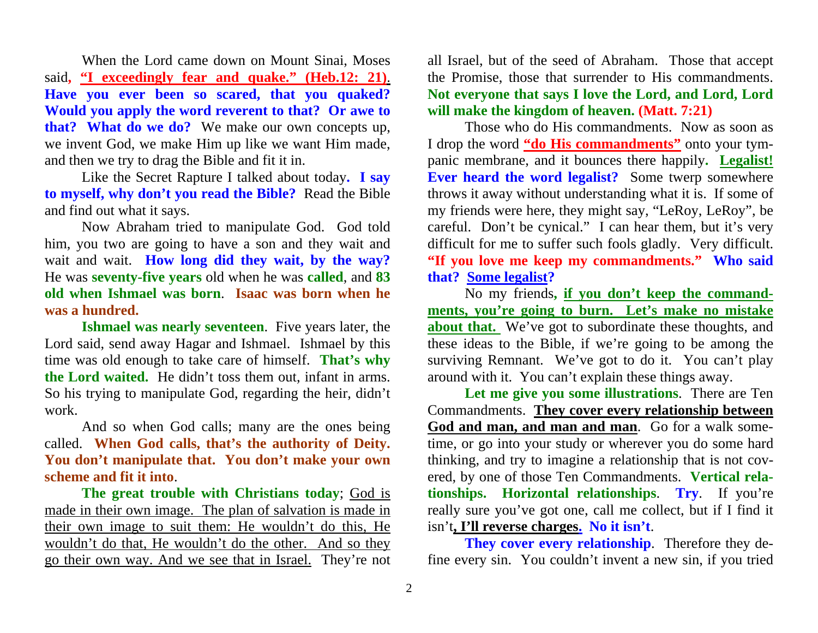When the Lord came down on Mount Sinai, Moses said**, "I exceedingly fear and quake." (Heb.12: 21)**. **Have you ever been so scared, that you quaked? Would you apply the word reverent to that? Or awe to that? What do we do?** We make our own concepts up, we invent God, we make Him up like we want Him made, and then we try to drag the Bible and fit it in.

Like the Secret Rapture I talked about today**. I say to myself, why don't you read the Bible?** Read the Bible and find out what it says.

Now Abraham tried to manipulate God. God told him, you two are going to have a son and they wait and wait and wait. **How long did they wait, by the way?** He was **seventy-five years** old when he was **called**, and **83 old when Ishmael was born**. **Isaac was born when he was a hundred.** 

**Ishmael was nearly seventeen**. Five years later, the Lord said, send away Hagar and Ishmael. Ishmael by this time was old enough to take care of himself. **That's why the Lord waited.** He didn't toss them out, infant in arms. So his trying to manipulate God, regarding the heir, didn't work.

And so when God calls; many are the ones being called. **When God calls, that's the authority of Deity. You don't manipulate that. You don't make your own scheme and fit it into**.

**The great trouble with Christians today**; God is made in their own image. The plan of salvation is made in their own image to suit them: He wouldn't do this, He wouldn't do that, He wouldn't do the other. And so they go their own way. And we see that in Israel. They're not all Israel, but of the seed of Abraham. Those that accept the Promise, those that surrender to His commandments. **Not everyone that says I love the Lord, and Lord, Lord will make the kingdom of heaven. (Matt. 7:21)** 

Those who do His commandments. Now as soon as I drop the word **"do His commandments"** onto your tympanic membrane, and it bounces there happily**. Legalist! Ever heard the word legalist?** Some twerp somewhere throws it away without understanding what it is. If some of my friends were here, they might say, "LeRoy, LeRoy", be careful. Don't be cynical." I can hear them, but it's very difficult for me to suffer such fools gladly. Very difficult. **"If you love me keep my commandments." Who said that? Some legalist?** 

No my friends**, if you don't keep the commandments, you're going to burn. Let's make no mistake about that.** We've got to subordinate these thoughts, and these ideas to the Bible, if we're going to be among the surviving Remnant. We've got to do it. You can't play around with it. You can't explain these things away.

**Let me give you some illustrations**. There are Ten Commandments. **They cover every relationship between God and man, and man and man**. Go for a walk sometime, or go into your study or wherever you do some hard thinking, and try to imagine a relationship that is not covered, by one of those Ten Commandments. **Vertical relationships. Horizontal relationships**. **Try**. If you're really sure you've got one, call me collect, but if I find it isn't**, I'll reverse charges. No it isn't**.

**They cover every relationship**. Therefore they define every sin. You couldn't invent a new sin, if you tried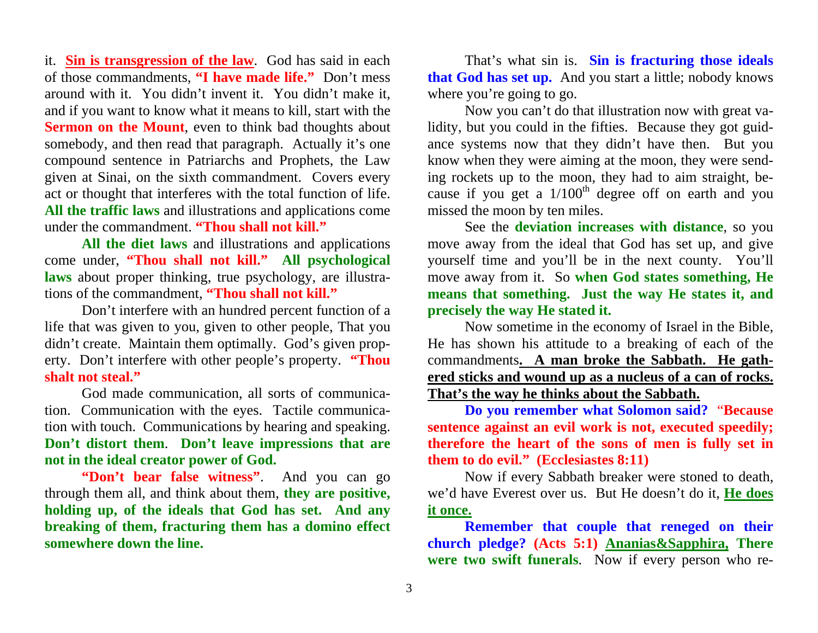it. **Sin is transgression of the law**. God has said in each of those commandments, **"I have made life."** Don't mess around with it. You didn't invent it. You didn't make it, and if you want to know what it means to kill, start with the **Sermon on the Mount**, even to think bad thoughts about somebody, and then read that paragraph. Actually it's one compound sentence in Patriarchs and Prophets, the Law given at Sinai, on the sixth commandment. Covers every act or thought that interferes with the total function of life. **All the traffic laws** and illustrations and applications come under the commandment. **"Thou shall not kill."** 

**All the diet laws** and illustrations and applications come under, **"Thou shall not kill." All psychological laws** about proper thinking, true psychology, are illustrations of the commandment, **"Thou shall not kill."**

Don't interfere with an hundred percent function of a life that was given to you, given to other people, That you didn't create. Maintain them optimally. God's given property. Don't interfere with other people's property. **"Thou shalt not steal."**

God made communication, all sorts of communication. Communication with the eyes. Tactile communication with touch. Communications by hearing and speaking. **Don't distort them**. **Don't leave impressions that are not in the ideal creator power of God.**

**"Don't bear false witness".** And you can go through them all, and think about them, **they are positive, holding up, of the ideals that God has set. And any breaking of them, fracturing them has a domino effect somewhere down the line.** 

That's what sin is. **Sin is fracturing those ideals that God has set up.** And you start a little; nobody knows where you're going to go.

Now you can't do that illustration now with great validity, but you could in the fifties. Because they got guidance systems now that they didn't have then. But you know when they were aiming at the moon, they were sending rockets up to the moon, they had to aim straight, because if you get a  $1/100<sup>th</sup>$  degree off on earth and you missed the moon by ten miles.

See the **deviation increases with distance**, so you move away from the ideal that God has set up, and give yourself time and you'll be in the next county. You'll move away from it. So **when God states something, He means that something. Just the way He states it, and precisely the way He stated it.**

Now sometime in the economy of Israel in the Bible, He has shown his attitude to a breaking of each of the commandments**. A man broke the Sabbath. He gathered sticks and wound up as a nucleus of a can of rocks. That's the way he thinks about the Sabbath.** 

**Do you remember what Solomon said?** "**Because sentence against an evil work is not, executed speedily; therefore the heart of the sons of men is fully set in them to do evil." (Ecclesiastes 8:11)** 

Now if every Sabbath breaker were stoned to death, we'd have Everest over us. But He doesn't do it, **He does it once.** 

**Remember that couple that reneged on their church pledge? (Acts 5:1) Ananias&Sapphira, There were two swift funerals**. Now if every person who re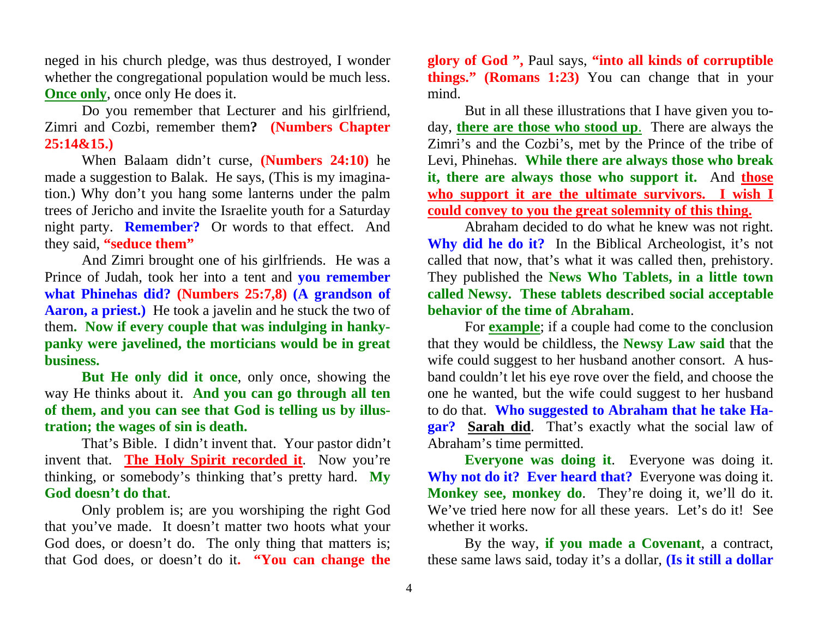neged in his church pledge, was thus destroyed, I wonder whether the congregational population would be much less. **Once only**, once only He does it.

Do you remember that Lecturer and his girlfriend, Zimri and Cozbi, remember them**? (Numbers Chapter 25:14&15.)** 

When Balaam didn't curse, **(Numbers 24:10)** he made a suggestion to Balak. He says, (This is my imagination.) Why don't you hang some lanterns under the palm trees of Jericho and invite the Israelite youth for a Saturday night party. **Remember?** Or words to that effect. And they said, **"seduce them"** 

And Zimri brought one of his girlfriends. He was a Prince of Judah, took her into a tent and **you remember what Phinehas did? (Numbers 25:7,8) (A grandson of Aaron, a priest.)** He took a javelin and he stuck the two of them**. Now if every couple that was indulging in hankypanky were javelined, the morticians would be in great business.** 

**But He only did it once**, only once, showing the way He thinks about it. **And you can go through all ten of them, and you can see that God is telling us by illustration; the wages of sin is death.**

That's Bible. I didn't invent that. Your pastor didn't invent that. **The Holy Spirit recorded it**. Now you're thinking, or somebody's thinking that's pretty hard. **My God doesn't do that**.

Only problem is; are you worshiping the right God that you've made. It doesn't matter two hoots what your God does, or doesn't do. The only thing that matters is; that God does, or doesn't do it**. "You can change the** 

**glory of God ",** Paul says, **"into all kinds of corruptible things." (Romans 1:23)** You can change that in your mind.

But in all these illustrations that I have given you today, **there are those who stood up**. There are always the Zimri's and the Cozbi's, met by the Prince of the tribe of Levi, Phinehas. **While there are always those who break it, there are always those who support it.** And **those who support it are the ultimate survivors. I wish I could convey to you the great solemnity of this thing.**

 Abraham decided to do what he knew was not right. **Why did he do it?** In the Biblical Archeologist, it's not called that now, that's what it was called then, prehistory. They published the **News Who Tablets, in a little town called Newsy. These tablets described social acceptable behavior of the time of Abraham**.

For **example**; if a couple had come to the conclusion that they would be childless, the **Newsy Law said** that the wife could suggest to her husband another consort. A husband couldn't let his eye rove over the field, and choose the one he wanted, but the wife could suggest to her husband to do that. **Who suggested to Abraham that he take Hagar? Sarah did**. That's exactly what the social law of Abraham's time permitted.

**Everyone was doing it**. Everyone was doing it. **Why not do it? Ever heard that?** Everyone was doing it. **Monkey see, monkey do**. They're doing it, we'll do it. We've tried here now for all these years. Let's do it! See whether it works.

By the way, **if you made a Covenant**, a contract, these same laws said, today it's a dollar, **(Is it still a dollar**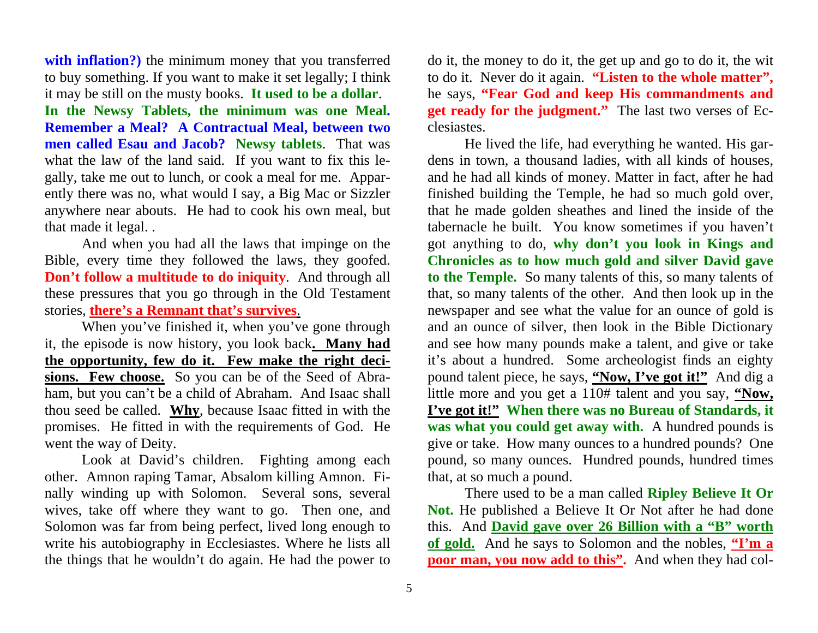**with inflation?)** the minimum money that you transferred to buy something. If you want to make it set legally; I think it may be still on the musty books. **It used to be a dollar**. **In the Newsy Tablets, the minimum was one Meal. Remember a Meal? A Contractual Meal, between two men called Esau and Jacob? Newsy tablets**. That was what the law of the land said. If you want to fix this legally, take me out to lunch, or cook a meal for me. Apparently there was no, what would I say, a Big Mac or Sizzler anywhere near abouts. He had to cook his own meal, but that made it legal. .

And when you had all the laws that impinge on the Bible, every time they followed the laws, they goofed. **Don't follow a multitude to do iniquity**. And through all these pressures that you go through in the Old Testament stories, **there's a Remnant that's survives**.

When you've finished it, when you've gone through it, the episode is now history, you look back**. Many had the opportunity, few do it. Few make the right decisions. Few choose.** So you can be of the Seed of Abraham, but you can't be a child of Abraham. And Isaac shall thou seed be called. **Why**, because Isaac fitted in with the promises. He fitted in with the requirements of God. He went the way of Deity.

 Look at David's children. Fighting among each other. Amnon raping Tamar, Absalom killing Amnon. Finally winding up with Solomon. Several sons, several wives, take off where they want to go. Then one, and Solomon was far from being perfect, lived long enough to write his autobiography in Ecclesiastes. Where he lists all the things that he wouldn't do again. He had the power to

do it, the money to do it, the get up and go to do it, the wit to do it. Never do it again. **"Listen to the whole matter",** he says, **"Fear God and keep His commandments and get ready for the judgment."** The last two verses of Ecclesiastes.

 He lived the life, had everything he wanted. His gardens in town, a thousand ladies, with all kinds of houses, and he had all kinds of money. Matter in fact, after he had finished building the Temple, he had so much gold over, that he made golden sheathes and lined the inside of the tabernacle he built. You know sometimes if you haven't got anything to do, **why don't you look in Kings and Chronicles as to how much gold and silver David gave to the Temple.** So many talents of this, so many talents of that, so many talents of the other. And then look up in the newspaper and see what the value for an ounce of gold is and an ounce of silver, then look in the Bible Dictionary and see how many pounds make a talent, and give or take it's about a hundred. Some archeologist finds an eighty pound talent piece, he says, **"Now, I've got it!"** And dig a little more and you get a 110# talent and you say, **"Now, I've got it!" When there was no Bureau of Standards, it was what you could get away with.** A hundred pounds is give or take. How many ounces to a hundred pounds? One pound, so many ounces. Hundred pounds, hundred times that, at so much a pound.

There used to be a man called **Ripley Believe It Or Not.** He published a Believe It Or Not after he had done this. And **David gave over 26 Billion with a "B" worth of gold.** And he says to Solomon and the nobles, **"I'm a poor man, you now add to this".** And when they had col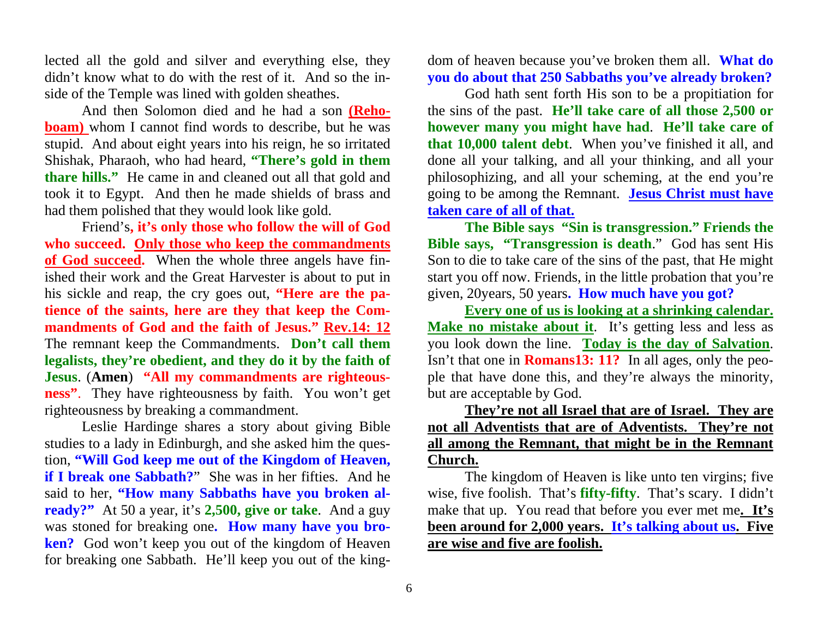lected all the gold and silver and everything else, they didn't know what to do with the rest of it. And so the inside of the Temple was lined with golden sheathes.

And then Solomon died and he had a son **(Rehoboam**) whom I cannot find words to describe, but he was stupid. And about eight years into his reign, he so irritated Shishak, Pharaoh, who had heard, **"There's gold in them thare hills."** He came in and cleaned out all that gold and took it to Egypt. And then he made shields of brass and had them polished that they would look like gold.

Friend's**, it's only those who follow the will of God who succeed. Only those who keep the commandments of God succeed.** When the whole three angels have finished their work and the Great Harvester is about to put in his sickle and reap, the cry goes out, **"Here are the patience of the saints, here are they that keep the Commandments of God and the faith of Jesus." Rev.14: 12** The remnant keep the Commandments. **Don't call them legalists, they're obedient, and they do it by the faith of Jesus**. (**Amen**) **"All my commandments are righteousness"**. They have righteousness by faith. You won't get righteousness by breaking a commandment.

 Leslie Hardinge shares a story about giving Bible studies to a lady in Edinburgh, and she asked him the question, **"Will God keep me out of the Kingdom of Heaven, if I break one Sabbath?**" She was in her fifties. And he said to her, **"How many Sabbaths have you broken already?"** At 50 a year, it's **2,500, give or take**. And a guy was stoned for breaking one**. How many have you broken?** God won't keep you out of the kingdom of Heaven for breaking one Sabbath. He'll keep you out of the kingdom of heaven because you've broken them all. **What do you do about that 250 Sabbaths you've already broken?**

God hath sent forth His son to be a propitiation for the sins of the past. **He'll take care of all those 2,500 or however many you might have had**. **He'll take care of**

**that 10,000 talent debt**. When you've finished it all, and<br>done all your talking, and all your thinking, and all your<br>philosophizing, and all your scheming, at the end you're<br>going to be among the Remnant. **Jesus Christ m** 

ple that have done this, and they're always the minority, but are acceptable by God.

**They're not all Israel that are of Israel. They are not all Adventists that are of Adventists. They're not all among the Remnant, that might be in the Remnant Church.** 

The kingdom of Heaven is like unto ten virgins; five wise, five foolish. That's **fifty-fifty**. That's scary. I didn't make that up. You read that before you ever met me. It's been around for 2,000 years. It's talking about are wise and five are foolish.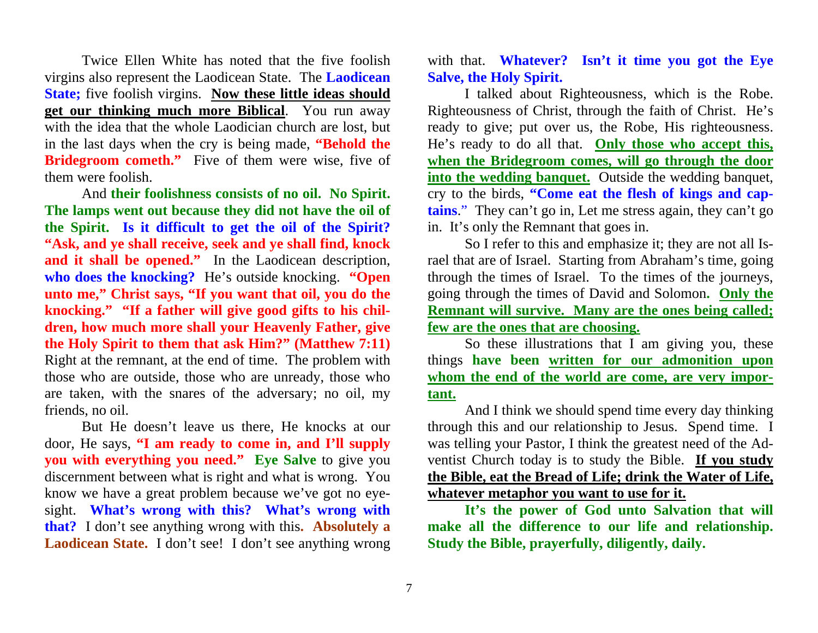Twice Ellen White has noted that the five foolish virgins also represent the Laodicean State. The **Laodicean State;** five foolish virgins. **Now these little ideas should get our thinking much more Biblical**. You run away with the idea that the whole Laodician church are lost, but in the last days when the cry is being made, **"Behold the Bridegroom cometh."** Five of them were wise, five of them were foolish.

And **their foolishness consists of no oil. No Spirit. The lamps went out because they did not have the oil of the Spirit. Is it difficult to get the oil of the Spirit? "Ask, and ye shall receive, seek and ye shall find, knock**  and it shall be opened." In the Laodicean description, **who does the knocking?** He's outside knocking. **"Open unto me," Christ says, "If you want that oil, you do the knocking." "If a father will give good gifts to his children, how much more shall your Heavenly Father, give the Holy Spirit to them that ask Him?" (Matthew 7:11)** Right at the remnant, at the end of time. The problem with those who are outside, those who are unready, those who are taken, with the snares of the adversary; no oil, my friends, no oil.

But He doesn't leave us there, He knocks at our door, He says, **"I am ready to come in, and I'll supply you with everything you need."** Eye Salve to give you discernment between what is right and what is wrong. You know we have a great problem because we've got no eyesight. **What's wrong with this? What's wrong with that?** I don't see anything wrong with this**. Absolutely a**  Laodicean State. I don't see! I don't see anything wrong

with that. **Whatever? Isn't it time you got the Eye Salve, the Holy Spirit.** 

I talked about Righteousness, which is the Robe. Righteousness of Christ, through the faith of Christ. He's ready to give; put over us, the Robe, His righteousness. He's ready to do all that. **Only those who accept this, when the Bridegroom comes, will go through the door into the wedding banquet.** Outside the wedding banquet, cry to the birds, **"Come eat the flesh of kings and captains**." They can't go in, Let me stress again, they can't go in. It's only the Remnant that goes in.

So I refer to this and emphasize it; they are not all Israel that are of Israel. Starting from Abraham's time, going through the times of Israel. To the times of the journeys, going through the times of David and Solomon**. Only the Remnant will survive. Many are the ones being called; few are the ones that are choosing.** 

So these illustrations that I am giving you, these things **have been written for our admonition upon whom the end of the world are come, are very important.** 

And I think we should spend time every day thinking through this and our relationship to Jesus. Spend time. I was telling your Pastor, I think the greatest need of the Adventist Church today is to study the Bible. **If you study the Bible, eat the Bread of Life; drink the Water of Life, whatever metaphor you want to use for it.** 

**It's the power of God unto Salvation that will make all the difference to our life and relationship. Study the Bible, prayerfully, diligently, daily.**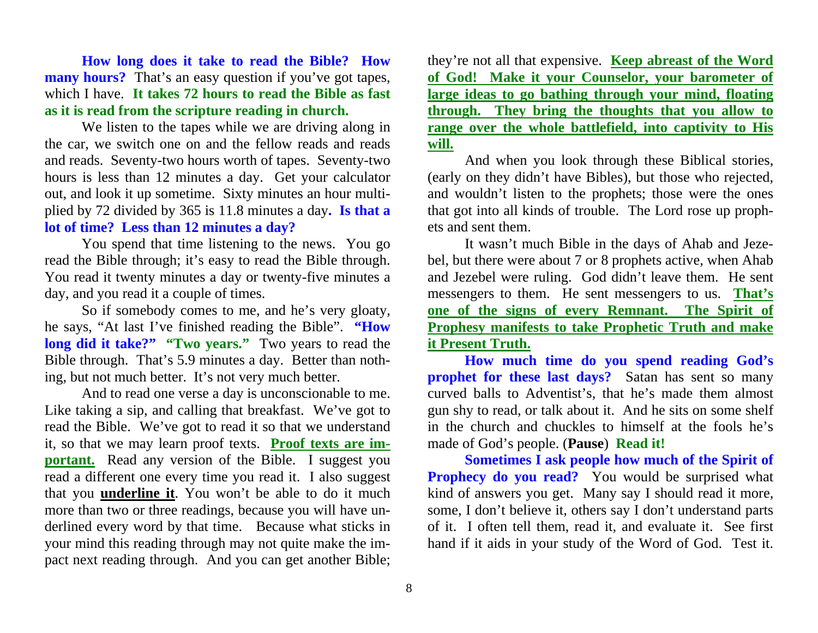**How long does it take to read the Bible? How many hours?** That's an easy question if you've got tapes, which I have. **It takes 72 hours to read the Bible as fast as it is read from the scripture reading in church.** 

We listen to the tapes while we are driving along in the car, we switch one on and the fellow reads and reads and reads. Seventy-two hours worth of tapes. Seventy-two hours is less than 12 minutes a day. Get your calculator out, and look it up sometime. Sixty minutes an hour multiplied by 72 divided by 365 is 11.8 minutes a day**. Is that a lot of time? Less than 12 minutes a day?** 

You spend that time listening to the news. You go read the Bible through; it's easy to read the Bible through. You read it twenty minutes a day or twenty-five minutes a day, and you read it a couple of times.

So if somebody comes to me, and he's very gloaty, he says, "At last I've finished reading the Bible". **"How long did it take?" "Two years."** Two years to read the Bible through. That's 5.9 minutes a day. Better than nothing, but not much better. It's not very much better.

And to read one verse a day is unconscionable to me. Like taking a sip, and calling that breakfast. We've got to read the Bible. We've got to read it so that we understand it, so that we may learn proof texts. **Proof texts are important.** Read any version of the Bible. I suggest you read a different one every time you read it. I also suggest that you **underline it**. You won't be able to do it much more than two or three readings, because you will have underlined every word by that time. Because what sticks in your mind this reading through may not quite make the impact next reading through. And you can get another Bible;

they're not all that expensive. **Keep abreast of the Word of God! Make it your Counselor, your barometer of large ideas to go bathing through your mind, floating through. They bring the thoughts that you allow to range over the whole battlefield, into captivity to His will.**

And when you look through these Biblical stories, (early on they didn't have Bibles), but those who rejected, and wouldn't listen to the prophets; those were the ones that got into all kinds of trouble. The Lord rose up prophets and sent them.

It wasn't much Bible in the days of Ahab and Jezebel, but there were about 7 or 8 prophets active, when Ahab and Jezebel were ruling. God didn't leave them. He sent messengers to them. He sent messengers to us. **That's one of the signs of every Remnant. The Spirit of Prophesy manifests to take Prophetic Truth and make it Present Truth.** 

**How much time do you spend reading God's prophet for these last days?** Satan has sent so many curved balls to Adventist's, that he's made them almost gun shy to read, or talk about it. And he sits on some shelf in the church and chuckles to himself at the fools he's made of God's people. (**Pause**) **Read it!**

**Sometimes I ask people how much of the Spirit of Prophecy do you read?** You would be surprised what kind of answers you get. Many say I should read it more, some, I don't believe it, others say I don't understand parts of it. I often tell them, read it, and evaluate it. See first hand if it aids in your study of the Word of God. Test it.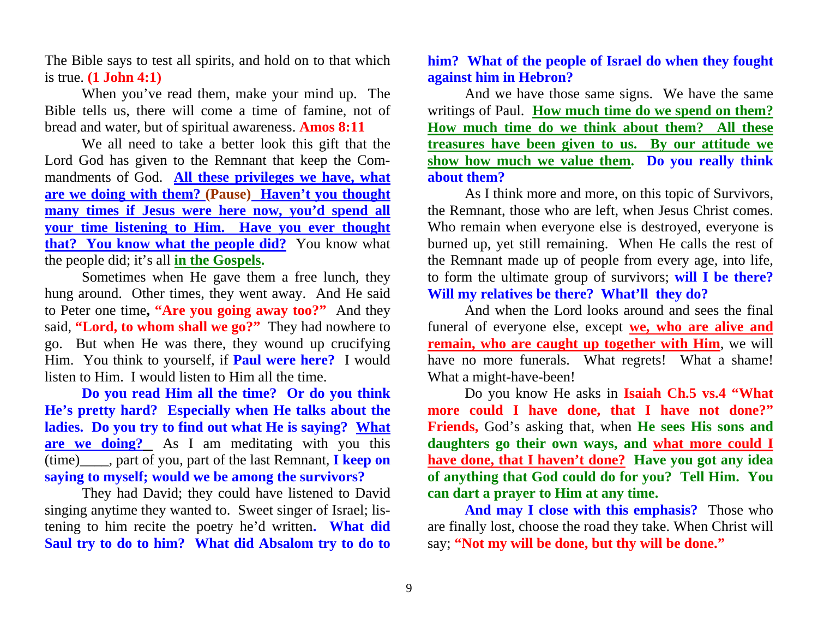The Bible says to test all spirits, and hold on to that which is true. **(1 John 4:1)** 

When you've read them, make your mind up. The Bible tells us, there will come a time of famine, not of bread and water, but of spiritual awareness. **Amos 8:11**

We all need to take a better look this gift that the Lord God has given to the Remnant that keep the Commandments of God. **All these privileges we have, what are we doing with them? (Pause) Haven't you thought many times if Jesus were here now, you'd spend all your time listening to Him. Have you ever thought that? You know what the people did?** You know what the people did; it's all **in the Gospels.**

Sometimes when He gave them a free lunch, they hung around. Other times, they went away. And He said to Peter one time**, "Are you going away too?"** And they said, **"Lord, to whom shall we go?"** They had nowhere to go. But when He was there, they wound up crucifying Him. You think to yourself, if **Paul were here?** I would listen to Him. I would listen to Him all the time.

**Do you read Him all the time? Or do you think He's pretty hard? Especially when He talks about the ladies. Do you try to find out what He is saying? What are we doing?** As I am meditating with you this (time)\_\_\_\_, part of you, part of the last Remnant, **I keep on saying to myself; would we be among the survivors?**

They had David; they could have listened to David singing anytime they wanted to. Sweet singer of Israel; listening to him recite the poetry he'd written**. What did Saul try to do to him? What did Absalom try to do to** 

## **him? What of the people of Israel do when they fought against him in Hebron?**

And we have those same signs. We have the same writings of Paul. **How much time do we spend on them? How much time do we think about them? All these treasures have been given to us. By our attitude we show how much we value them. Do you really think about them?** 

As I think more and more, on this topic of Survivors, the Remnant, those who are left, when Jesus Christ comes. Who remain when everyone else is destroyed, everyone is burned up, yet still remaining. When He calls the rest of the Remnant made up of people from every age, into life, to form the ultimate group of survivors; **will I be there? Will my relatives be there? What'll they do?**

And when the Lord looks around and sees the final funeral of everyone else, except **we, who are alive and remain, who are caught up together with Him**, we will have no more funerals. What regrets! What a shame! What a might-have-been!

Do you know He asks in **Isaiah Ch.5 vs.4 "What more could I have done, that I have not done?" Friends,** God's asking that, when **He sees His sons and daughters go their own ways, and what more could I have done, that I haven't done? Have you got any idea of anything that God could do for you? Tell Him. You can dart a prayer to Him at any time.** 

**And may I close with this emphasis?** Those who are finally lost, choose the road they take. When Christ will say; **"Not my will be done, but thy will be done."**